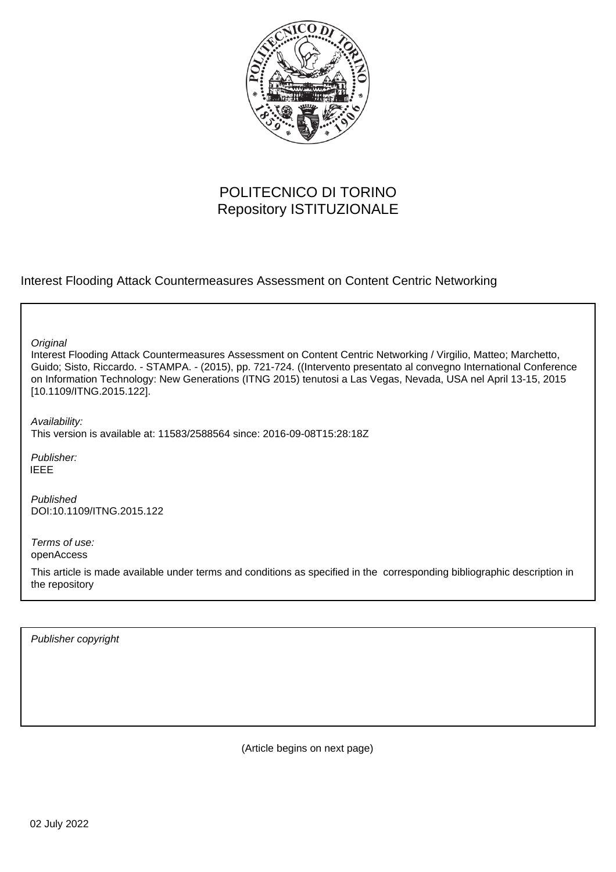

# POLITECNICO DI TORINO Repository ISTITUZIONALE

Interest Flooding Attack Countermeasures Assessment on Content Centric Networking

**Original** 

Interest Flooding Attack Countermeasures Assessment on Content Centric Networking / Virgilio, Matteo; Marchetto, Guido; Sisto, Riccardo. - STAMPA. - (2015), pp. 721-724. ((Intervento presentato al convegno International Conference on Information Technology: New Generations (ITNG 2015) tenutosi a Las Vegas, Nevada, USA nel April 13-15, 2015 [10.1109/ITNG.2015.122].

Availability: This version is available at: 11583/2588564 since: 2016-09-08T15:28:18Z

Publisher: IEEE

Published DOI:10.1109/ITNG.2015.122

Terms of use: openAccess

This article is made available under terms and conditions as specified in the corresponding bibliographic description in the repository

Publisher copyright

(Article begins on next page)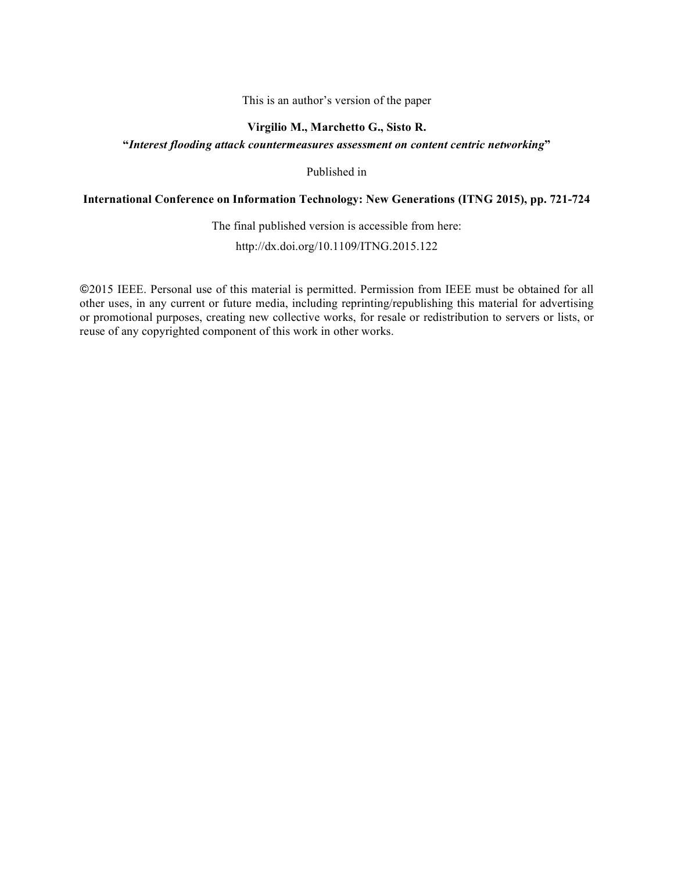# This is an author's version of the paper

# **Virgilio M., Marchetto G., Sisto R.**

# **"***Interest flooding attack countermeasures assessment on content centric networking***"**

Published in

# **International Conference on Information Technology: New Generations (ITNG 2015), pp. 721-724**

The final published version is accessible from here:

http://dx.doi.org/10.1109/ITNG.2015.122

©2015 IEEE. Personal use of this material is permitted. Permission from IEEE must be obtained for all other uses, in any current or future media, including reprinting/republishing this material for advertising or promotional purposes, creating new collective works, for resale or redistribution to servers or lists, or reuse of any copyrighted component of this work in other works.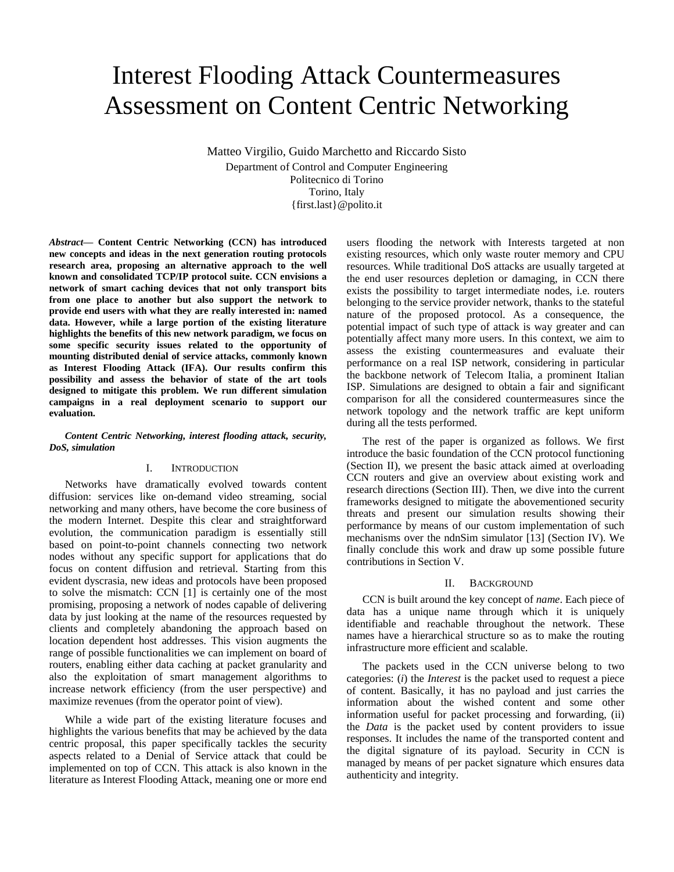# Interest Flooding Attack Countermeasures Assessment on Content Centric Networking

Matteo Virgilio, Guido Marchetto and Riccardo Sisto Department of Control and Computer Engineering Politecnico di Torino Torino, Italy {first.last}@polito.it

*Abstract***— Content Centric Networking (CCN) has introduced new concepts and ideas in the next generation routing protocols research area, proposing an alternative approach to the well known and consolidated TCP/IP protocol suite. CCN envisions a network of smart caching devices that not only transport bits from one place to another but also support the network to provide end users with what they are really interested in: named data. However, while a large portion of the existing literature highlights the benefits of this new network paradigm, we focus on some specific security issues related to the opportunity of mounting distributed denial of service attacks, commonly known as Interest Flooding Attack (IFA). Our results confirm this possibility and assess the behavior of state of the art tools designed to mitigate this problem. We run different simulation campaigns in a real deployment scenario to support our evaluation.**

#### *Content Centric Networking, interest flooding attack, security, DoS, simulation*

#### I. INTRODUCTION

Networks have dramatically evolved towards content diffusion: services like on-demand video streaming, social networking and many others, have become the core business of the modern Internet. Despite this clear and straightforward evolution, the communication paradigm is essentially still based on point-to-point channels connecting two network nodes without any specific support for applications that do focus on content diffusion and retrieval. Starting from this evident dyscrasia, new ideas and protocols have been proposed to solve the mismatch: CCN [\[1\]](#page-5-0) is certainly one of the most promising, proposing a network of nodes capable of delivering data by just looking at the name of the resources requested by clients and completely abandoning the approach based on location dependent host addresses. This vision augments the range of possible functionalities we can implement on board of routers, enabling either data caching at packet granularity and also the exploitation of smart management algorithms to increase network efficiency (from the user perspective) and maximize revenues (from the operator point of view).

While a wide part of the existing literature focuses and highlights the various benefits that may be achieved by the data centric proposal, this paper specifically tackles the security aspects related to a Denial of Service attack that could be implemented on top of CCN. This attack is also known in the literature as Interest Flooding Attack, meaning one or more end

users flooding the network with Interests targeted at non existing resources, which only waste router memory and CPU resources. While traditional DoS attacks are usually targeted at the end user resources depletion or damaging, in CCN there exists the possibility to target intermediate nodes, i.e. routers belonging to the service provider network, thanks to the stateful nature of the proposed protocol. As a consequence, the potential impact of such type of attack is way greater and can potentially affect many more users. In this context, we aim to assess the existing countermeasures and evaluate their performance on a real ISP network, considering in particular the backbone network of Telecom Italia, a prominent Italian ISP. Simulations are designed to obtain a fair and significant comparison for all the considered countermeasures since the network topology and the network traffic are kept uniform during all the tests performed.

The rest of the paper is organized as follows. We first introduce the basic foundation of the CCN protocol functioning (Section [II\)](#page-2-0), we present the basic attack aimed at overloading CCN routers and give an overview about existing work and research directions (Section [III\)](#page-3-0). Then, we dive into the current frameworks designed to mitigate the abovementioned security threats and present our simulation results showing their performance by means of our custom implementation of such mechanisms over the ndnSim simulator [13] (Section [IV\)](#page-3-1). We finally conclude this work and draw up some possible future contributions in Section [V.](#page-5-1)

#### II. BACKGROUND

<span id="page-2-0"></span>CCN is built around the key concept of *name*. Each piece of data has a unique name through which it is uniquely identifiable and reachable throughout the network. These names have a hierarchical structure so as to make the routing infrastructure more efficient and scalable.

The packets used in the CCN universe belong to two categories: (*i*) the *Interest* is the packet used to request a piece of content. Basically, it has no payload and just carries the information about the wished content and some other information useful for packet processing and forwarding, (ii) the *Data* is the packet used by content providers to issue responses. It includes the name of the transported content and the digital signature of its payload. Security in CCN is managed by means of per packet signature which ensures data authenticity and integrity.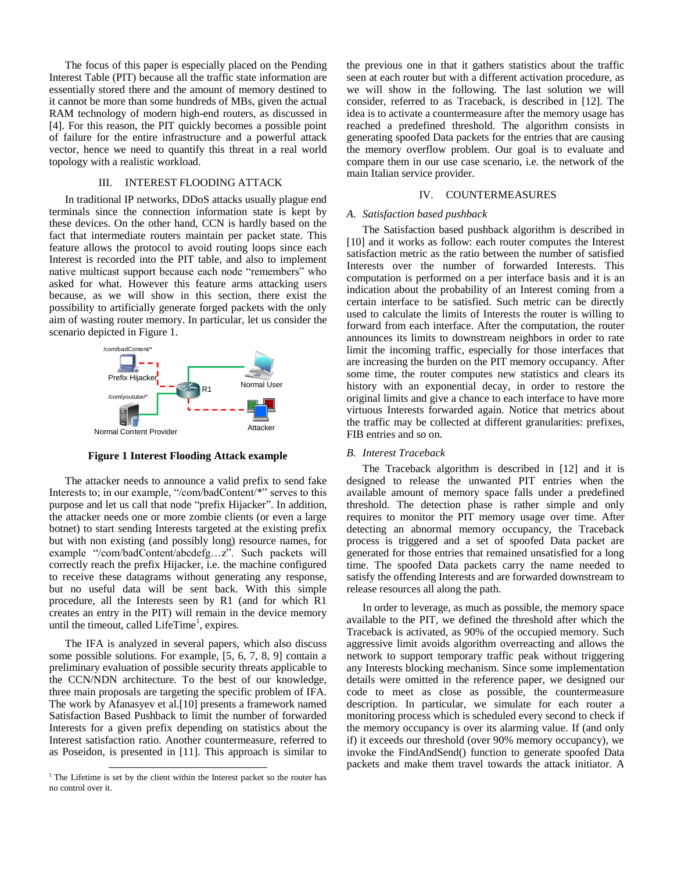The focus of this paper is especially placed on the Pending Interest Table (PIT) because all the traffic state information are essentially stored there and the amount of memory destined to it cannot be more than some hundreds of MBs, given the actual RAM technology of modern high-end routers, as discussed in [4]. For this reason, the PIT quickly becomes a possible point of failure for the entire infrastructure and a powerful attack vector, hence we need to quantify this threat in a real world topology with a realistic workload.

#### III. INTEREST FLOODING ATTACK

<span id="page-3-0"></span>In traditional IP networks, DDoS attacks usually plague end terminals since the connection information state is kept by these devices. On the other hand, CCN is hardly based on the fact that intermediate routers maintain per packet state. This feature allows the protocol to avoid routing loops since each Interest is recorded into the PIT table, and also to implement native multicast support because each node "remembers" who asked for what. However this feature arms attacking users because, as we will show in this section, there exist the possibility to artificially generate forged packets with the only aim of wasting router memory. In particular, let us consider the scenario depicted in [Figure 1.](#page-3-2)



**Figure 1 Interest Flooding Attack example**

<span id="page-3-2"></span>The attacker needs to announce a valid prefix to send fake Interests to; in our example, "/com/badContent/\*" serves to this purpose and let us call that node "prefix Hijacker". In addition, the attacker needs one or more zombie clients (or even a large botnet) to start sending Interests targeted at the existing prefix but with non existing (and possibly long) resource names, for example "/com/badContent/abcdefg…z". Such packets will correctly reach the prefix Hijacker, i.e. the machine configured to receive these datagrams without generating any response, but no useful data will be sent back. With this simple procedure, all the Interests seen by R1 (and for which R1 creates an entry in the PIT) will remain in the device memory until the timeout, called LifeTime<sup>1</sup>, expires.

The IFA is analyzed in several papers, which also discuss some possible solutions. For example, [5, 6, 7, 8, 9] contain a preliminary evaluation of possible security threats applicable to the CCN/NDN architecture. To the best of our knowledge, three main proposals are targeting the specific problem of IFA. The work by Afanasyev et al.[10] presents a framework named Satisfaction Based Pushback to limit the number of forwarded Interests for a given prefix depending on statistics about the Interest satisfaction ratio. Another countermeasure, referred to as Poseidon, is presented in [11]. This approach is similar to

l

the previous one in that it gathers statistics about the traffic seen at each router but with a different activation procedure, as we will show in the following. The last solution we will consider, referred to as Traceback, is described in [12]. The idea is to activate a countermeasure after the memory usage has reached a predefined threshold. The algorithm consists in generating spoofed Data packets for the entries that are causing the memory overflow problem. Our goal is to evaluate and compare them in our use case scenario, i.e. the network of the main Italian service provider.

#### IV. COUNTERMEASURES

#### <span id="page-3-1"></span>*A. Satisfaction based pushback*

The Satisfaction based pushback algorithm is described in [10] and it works as follow: each router computes the Interest satisfaction metric as the ratio between the number of satisfied Interests over the number of forwarded Interests. This computation is performed on a per interface basis and it is an indication about the probability of an Interest coming from a certain interface to be satisfied. Such metric can be directly used to calculate the limits of Interests the router is willing to forward from each interface. After the computation, the router announces its limits to downstream neighbors in order to rate limit the incoming traffic, especially for those interfaces that are increasing the burden on the PIT memory occupancy. After some time, the router computes new statistics and clears its history with an exponential decay, in order to restore the original limits and give a chance to each interface to have more virtuous Interests forwarded again. Notice that metrics about the traffic may be collected at different granularities: prefixes, FIB entries and so on.

#### *B. Interest Traceback*

The Traceback algorithm is described in [12] and it is designed to release the unwanted PIT entries when the available amount of memory space falls under a predefined threshold. The detection phase is rather simple and only requires to monitor the PIT memory usage over time. After detecting an abnormal memory occupancy, the Traceback process is triggered and a set of spoofed Data packet are generated for those entries that remained unsatisfied for a long time. The spoofed Data packets carry the name needed to satisfy the offending Interests and are forwarded downstream to release resources all along the path.

In order to leverage, as much as possible, the memory space available to the PIT, we defined the threshold after which the Traceback is activated, as 90% of the occupied memory. Such aggressive limit avoids algorithm overreacting and allows the network to support temporary traffic peak without triggering any Interests blocking mechanism. Since some implementation details were omitted in the reference paper, we designed our code to meet as close as possible, the countermeasure description. In particular, we simulate for each router a monitoring process which is scheduled every second to check if the memory occupancy is over its alarming value. If (and only if) it exceeds our threshold (over 90% memory occupancy), we invoke the FindAndSend() function to generate spoofed Data packets and make them travel towards the attack initiator. A

 $1$ <sup>1</sup> The Lifetime is set by the client within the Interest packet so the router has no control over it.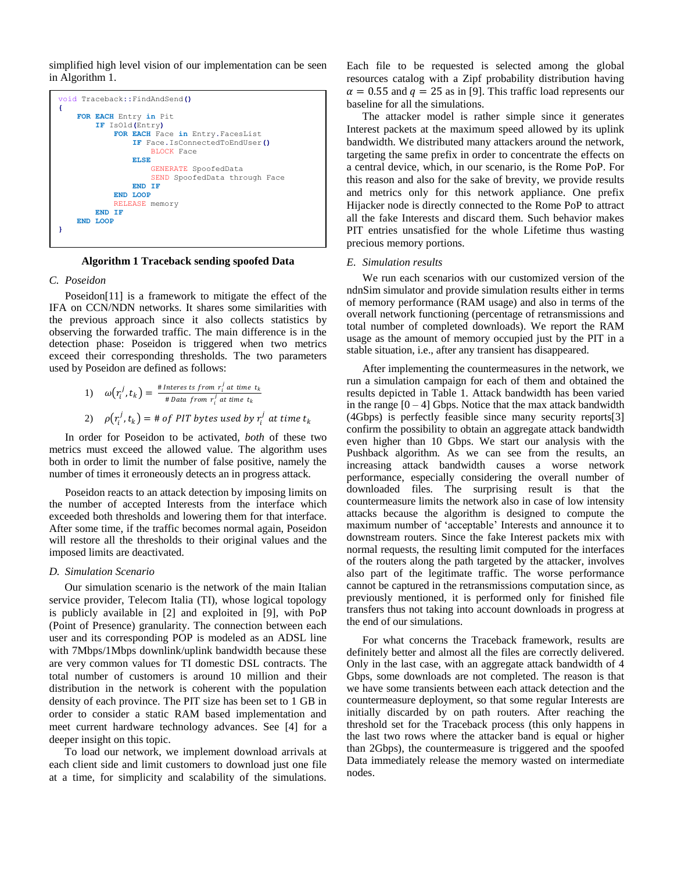simplified high level vision of our implementation can be seen in [Algorithm 1](#page-4-0).



**Algorithm 1 Traceback sending spoofed Data**

#### <span id="page-4-0"></span>*C. Poseidon*

Poseidon[11] is a framework to mitigate the effect of the IFA on CCN/NDN networks. It shares some similarities with the previous approach since it also collects statistics by observing the forwarded traffic. The main difference is in the detection phase: Poseidon is triggered when two metrics exceed their corresponding thresholds. The two parameters used by Poseidon are defined as follows:

1) 
$$
\omega(r_i^j, t_k) = \frac{\# \text{Interests from } r_i^j \text{ at time } t_k}{\# \text{Data from } r_i^j \text{ at time } t_k}
$$
  
2) 
$$
\rho(r_i^j, t_k) = \# \text{ of PIT bytes used by } r_i^j \text{ at time } t_k
$$

In order for Poseidon to be activated, *both* of these two metrics must exceed the allowed value. The algorithm uses both in order to limit the number of false positive, namely the number of times it erroneously detects an in progress attack.

Poseidon reacts to an attack detection by imposing limits on the number of accepted Interests from the interface which exceeded both thresholds and lowering them for that interface. After some time, if the traffic becomes normal again, Poseidon will restore all the thresholds to their original values and the imposed limits are deactivated.

#### *D. Simulation Scenario*

Our simulation scenario is the network of the main Italian service provider, Telecom Italia (TI), whose logical topology is publicly available in [2] and exploited in [9], with PoP (Point of Presence) granularity. The connection between each user and its corresponding POP is modeled as an ADSL line with 7Mbps/1Mbps downlink/uplink bandwidth because these are very common values for TI domestic DSL contracts. The total number of customers is around 10 million and their distribution in the network is coherent with the population density of each province. The PIT size has been set to 1 GB in order to consider a static RAM based implementation and meet current hardware technology advances. See [4] for a deeper insight on this topic.

To load our network, we implement download arrivals at each client side and limit customers to download just one file at a time, for simplicity and scalability of the simulations.

Each file to be requested is selected among the global resources catalog with a Zipf probability distribution having  $\alpha = 0.55$  and  $q = 25$  as in [9]. This traffic load represents our baseline for all the simulations.

The attacker model is rather simple since it generates Interest packets at the maximum speed allowed by its uplink bandwidth. We distributed many attackers around the network, targeting the same prefix in order to concentrate the effects on a central device, which, in our scenario, is the Rome PoP. For this reason and also for the sake of brevity, we provide results and metrics only for this network appliance. One prefix Hijacker node is directly connected to the Rome PoP to attract all the fake Interests and discard them. Such behavior makes PIT entries unsatisfied for the whole Lifetime thus wasting precious memory portions.

#### *E. Simulation results*

We run each scenarios with our customized version of the ndnSim simulator and provide simulation results either in terms of memory performance (RAM usage) and also in terms of the overall network functioning (percentage of retransmissions and total number of completed downloads). We report the RAM usage as the amount of memory occupied just by the PIT in a stable situation, i.e., after any transient has disappeared.

After implementing the countermeasures in the network, we run a simulation campaign for each of them and obtained the results depicted in [Table 1.](#page-5-2) Attack bandwidth has been varied in the range  $[0 - 4]$  Gbps. Notice that the max attack bandwidth (4Gbps) is perfectly feasible since many security reports[3] confirm the possibility to obtain an aggregate attack bandwidth even higher than 10 Gbps. We start our analysis with the Pushback algorithm. As we can see from the results, an increasing attack bandwidth causes a worse network performance, especially considering the overall number of downloaded files. The surprising result is that the countermeasure limits the network also in case of low intensity attacks because the algorithm is designed to compute the maximum number of "acceptable" Interests and announce it to downstream routers. Since the fake Interest packets mix with normal requests, the resulting limit computed for the interfaces of the routers along the path targeted by the attacker, involves also part of the legitimate traffic. The worse performance cannot be captured in the retransmissions computation since, as previously mentioned, it is performed only for finished file transfers thus not taking into account downloads in progress at the end of our simulations.

For what concerns the Traceback framework, results are definitely better and almost all the files are correctly delivered. Only in the last case, with an aggregate attack bandwidth of 4 Gbps, some downloads are not completed. The reason is that we have some transients between each attack detection and the countermeasure deployment, so that some regular Interests are initially discarded by on path routers. After reaching the threshold set for the Traceback process (this only happens in the last two rows where the attacker band is equal or higher than 2Gbps), the countermeasure is triggered and the spoofed Data immediately release the memory wasted on intermediate nodes.